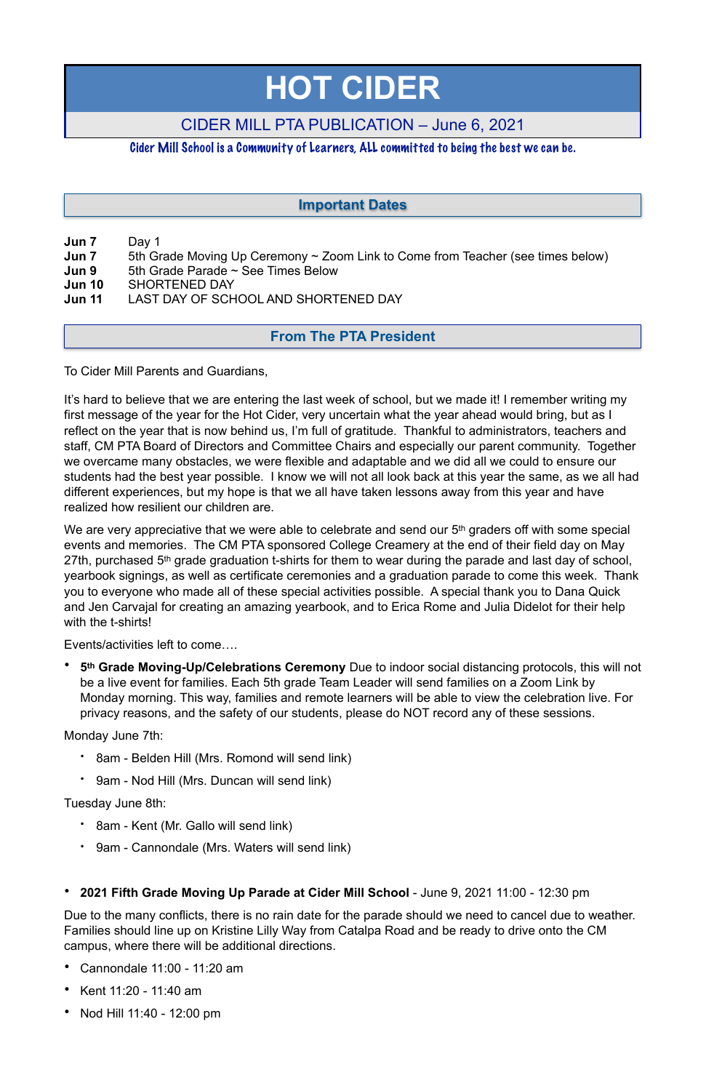**Jun 7** Day 1

- **Jun 7** 5th Grade Moving Up Ceremony ~ Zoom Link to Come from Teacher (see times below)
- **Jun 9** 5th Grade Parade ~ See Times Below
- **Jun 10** SHORTENED DAY
- **Jun 11** LAST DAY OF SCHOOL AND SHORTENED DAY

To Cider Mill Parents and Guardians,

It's hard to believe that we are entering the last week of school, but we made it! I remember writing my first message of the year for the Hot Cider, very uncertain what the year ahead would bring, but as I reflect on the year that is now behind us, I'm full of gratitude. Thankful to administrators, teachers and staff, CM PTA Board of Directors and Committee Chairs and especially our parent community. Together we overcame many obstacles, we were flexible and adaptable and we did all we could to ensure our students had the best year possible. I know we will not all look back at this year the same, as we all had different experiences, but my hope is that we all have taken lessons away from this year and have realized how resilient our children are.

We are very appreciative that we were able to celebrate and send our 5<sup>th</sup> graders off with some special events and memories. The CM PTA sponsored College Creamery at the end of their field day on May 27th, purchased 5<sup>th</sup> grade graduation t-shirts for them to wear during the parade and last day of school, yearbook signings, as well as certificate ceremonies and a graduation parade to come this week. Thank you to everyone who made all of these special activities possible. A special thank you to Dana Quick and Jen Carvajal for creating an amazing yearbook, and to Erica Rome and Julia Didelot for their help with the t-shirts!

Events/activities left to come….

• **5th Grade Moving-Up/Celebrations Ceremony** Due to indoor social distancing protocols, this will not be a live event for families. Each 5th grade Team Leader will send families on a Zoom Link by Monday morning. This way, families and remote learners will be able to view the celebration live. For privacy reasons, and the safety of our students, please do NOT record any of these sessions.

Monday June 7th:

- 8am Belden Hill (Mrs. Romond will send link)
- 9am Nod Hill (Mrs. Duncan will send link)

Tuesday June 8th:

- 8am Kent (Mr. Gallo will send link)
- 9am Cannondale (Mrs. Waters will send link)
- **2021 Fifth Grade Moving Up Parade at Cider Mill School**  June 9, 2021 11:00 12:30 pm

Due to the many conflicts, there is no rain date for the parade should we need to cancel due to weather. Families should line up on Kristine Lilly Way from Catalpa Road and be ready to drive onto the CM campus, where there will be additional directions.

- Cannondale 11:00 11:20 am
- Kent 11:20 11:40 am
- Nod Hill 11:40 12:00 pm

# **HOT CIDER**

# CIDER MILL PTA PUBLICATION – June 6, 2021

Cider Mill School is a Community of Learners, ALL committed to being the best we can be.

## **From The PTA President**

# **Important Dates**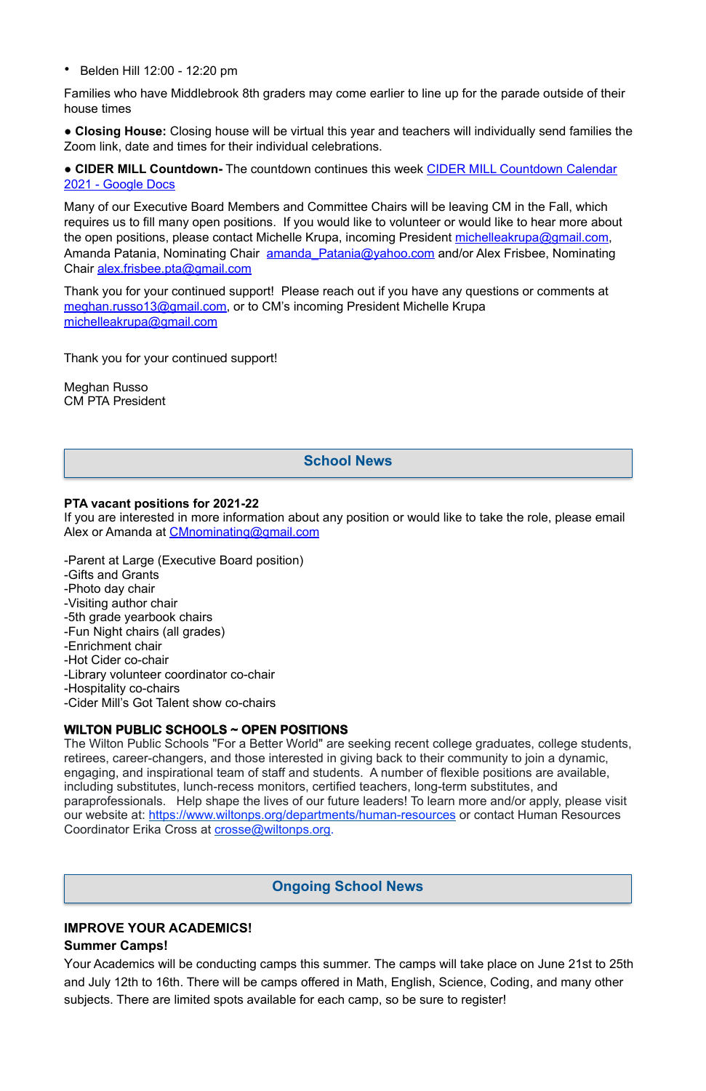• Belden Hill 12:00 - 12:20 pm

Families who have Middlebrook 8th graders may come earlier to line up for the parade outside of their house times

● **Closing House:** Closing house will be virtual this year and teachers will individually send families the Zoom link, date and times for their individual celebrations.

● **CIDER MILL Countdown-** The countdown continues this week [CIDER MILL Countdown Calendar](https://docs.google.com/document/d/1YOtr03dzmN6N9s5MuJFPKLkEjFCXGmd97TvmFYbP5XY/edit?fbclid=IwAR3AoVrXm8OmuxsidJzC0bsjYYE5RiDW-yEJBBFp9N9h1M-Vjbb2jimVMck)  [2021 - Google Docs](https://docs.google.com/document/d/1YOtr03dzmN6N9s5MuJFPKLkEjFCXGmd97TvmFYbP5XY/edit?fbclid=IwAR3AoVrXm8OmuxsidJzC0bsjYYE5RiDW-yEJBBFp9N9h1M-Vjbb2jimVMck)

If you are interested in more information about any position or would like to take the role, please email Alex or Amanda at [CMnominating@gmail.com](mailto:CMnominating@gmail.com)

Many of our Executive Board Members and Committee Chairs will be leaving CM in the Fall, which requires us to fill many open positions. If you would like to volunteer or would like to hear more about the open positions, please contact Michelle Krupa, incoming President michelleakrupa@gmail.com, Amanda Patania, Nominating Chair amanda Patania@yahoo.com and/or Alex Frisbee, Nominating Chair [alex.frisbee.pta@gmail.com](mailto:alex.frisbee.pta@gmail.com)

Thank you for your continued support! Please reach out if you have any questions or comments at [meghan.russo13@gmail.com](mailto:meghan.russo13@gmail.com), or to CM's incoming President Michelle Krupa michelleakrupa@gmail.com

Thank you for your continued support!

Meghan Russo CM PTA President

#### **PTA vacant positions for 2021-22**

-Parent at Large (Executive Board position) -Gifts and Grants -Photo day chair -Visiting author chair -5th grade yearbook chairs -Fun Night chairs (all grades) -Enrichment chair -Hot Cider co-chair -Library volunteer coordinator co-chair -Hospitality co-chairs -Cider Mill's Got Talent show co-chairs

## **WILTON PUBLIC SCHOOLS ~ OPEN POSITIONS**

The Wilton Public Schools "For a Better World" are seeking recent college graduates, college students, retirees, career-changers, and those interested in giving back to their community to join a dynamic, engaging, and inspirational team of staff and students. A number of flexible positions are available, including substitutes, lunch-recess monitors, certified teachers, long-term substitutes, and paraprofessionals. Help shape the lives of our future leaders! To learn more and/or apply, please visit our website at: <https://www.wiltonps.org/departments/human-resources> or contact Human Resources Coordinator Erika Cross at [crosse@wiltonps.org.](mailto:crosse@wiltonps.org)

#### **IMPROVE YOUR ACADEMICS!**

#### **Summer Camps!**

Your Academics will be conducting camps this summer. The camps will take place on June 21st to 25th and July 12th to 16th. There will be camps offered in Math, English, Science, Coding, and many other subjects. There are limited spots available for each camp, so be sure to register!

## **School News**

## **Ongoing School News**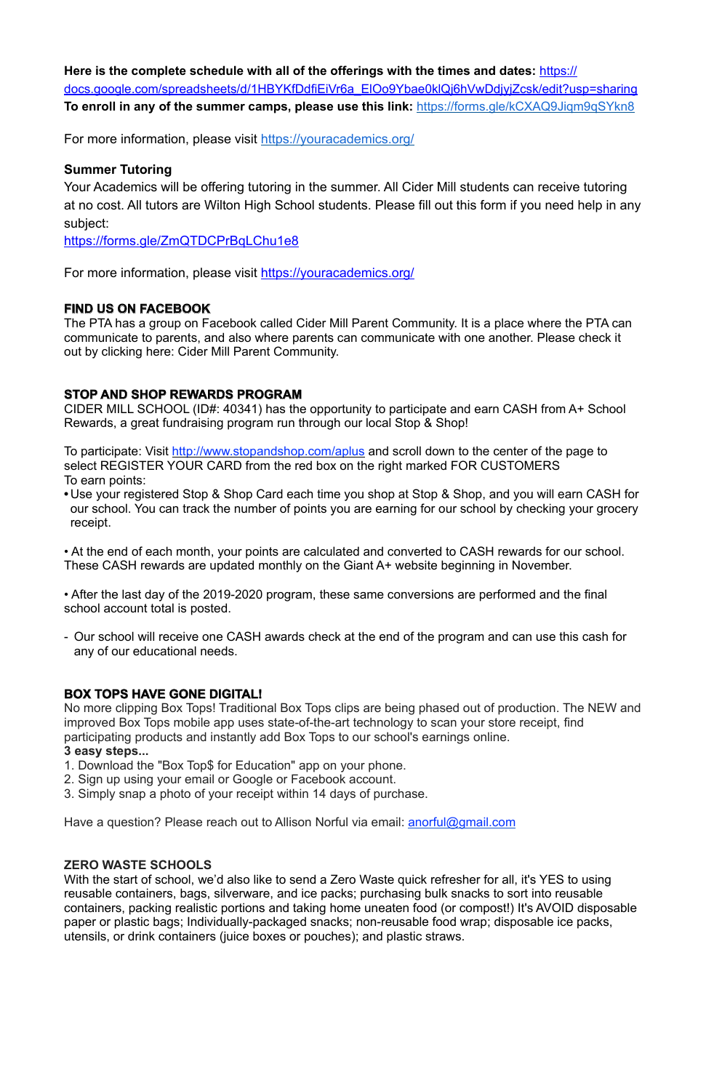Here is the complete schedule with all of the offerings with the times and dates: [https://](https://docs.google.com/spreadsheets/d/1HBYKfDdfiEiVr6a_ElOo9Ybae0klQj6hVwDdjyjZcsk/edit?usp=sharing) [docs.google.com/spreadsheets/d/1HBYKfDdfiEiVr6a\\_ElOo9Ybae0klQj6hVwDdjyjZcsk/edit?usp=sharing](https://docs.google.com/spreadsheets/d/1HBYKfDdfiEiVr6a_ElOo9Ybae0klQj6hVwDdjyjZcsk/edit?usp=sharing) **To enroll in any of the summer camps, please use this link:** <https://forms.gle/kCXAQ9Jiqm9qSYkn8>

For more information, please visit <https://youracademics.org/>

#### **Summer Tutoring**

Your Academics will be offering tutoring in the summer. All Cider Mill students can receive tutoring at no cost. All tutors are Wilton High School students. Please fill out this form if you need help in any subject:

<https://forms.gle/ZmQTDCPrBqLChu1e8>

For more information, please visit <https://youracademics.org/>

#### **FIND US ON FACEBOOK**

The PTA has a group on Facebook called Cider Mill Parent Community. It is a place where the PTA can communicate to parents, and also where parents can communicate with one another. Please check it out by clicking here: [Cider Mill Parent Community.](https://www.facebook.com/groups/1168962513117647/)

### **STOP AND SHOP REWARDS PROGRAM**

CIDER MILL SCHOOL (ID#: 40341) has the opportunity to participate and earn CASH from A+ School Rewards, a great fundraising program run through our local Stop & Shop!

To participate: Visit<http://www.stopandshop.com/aplus> and scroll down to the center of the page to select REGISTER YOUR CARD from the red box on the right marked FOR CUSTOMERS To earn points:

**•** Use your registered Stop & Shop Card each time you shop at Stop & Shop, and you will earn CASH for our school. You can track the number of points you are earning for our school by checking your grocery receipt.

With the start of school, we'd also like to send a Zero Waste quick refresher for all, it's YES to using reusable containers, bags, silverware, and ice packs; purchasing bulk snacks to sort into reusable containers, packing realistic portions and taking home uneaten food (or compost!) It's AVOID disposable paper or plastic bags; Individually-packaged snacks; non-reusable food wrap; disposable ice packs, utensils, or drink containers (juice boxes or pouches); and plastic straws.

• At the end of each month, your points are calculated and converted to CASH rewards for our school. These CASH rewards are updated monthly on the Giant A+ website beginning in November.

• After the last day of the 2019-2020 program, these same conversions are performed and the final school account total is posted.

- Our school will receive one CASH awards check at the end of the program and can use this cash for any of our educational needs.

## **BOX TOPS HAVE GONE DIGITAL!**

No more clipping Box Tops! Traditional Box Tops clips are being phased out of production. The NEW and improved Box Tops mobile app uses state-of-the-art technology to scan your store receipt, find participating products and instantly add Box Tops to our school's earnings online.

#### **3 easy steps...**

- 1. Download the "Box Top\$ for Education" app on your phone.
- 2. Sign up using your email or Google or Facebook account.
- 3. Simply snap a photo of your receipt within 14 days of purchase.
- 

#### **ZERO WASTE SCHOOLS**